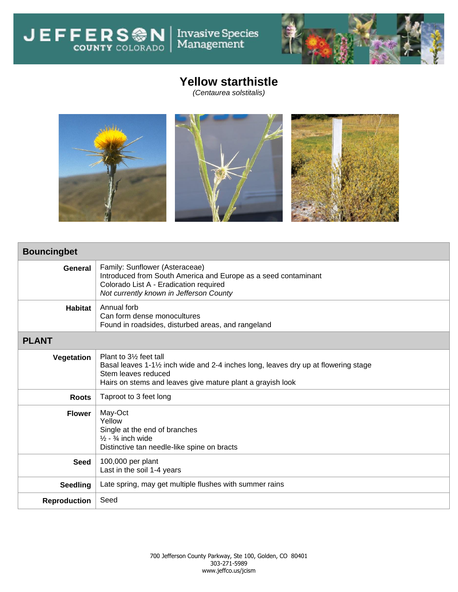JEFFERS<sup>ON</sup>



## **Yellow starthistle**

Invasive Species<br>Management

*(Centaurea solstitalis)*



| <b>Bouncingbet</b>  |                                                                                                                                                                                                               |  |  |  |  |  |  |
|---------------------|---------------------------------------------------------------------------------------------------------------------------------------------------------------------------------------------------------------|--|--|--|--|--|--|
| General             | Family: Sunflower (Asteraceae)<br>Introduced from South America and Europe as a seed contaminant<br>Colorado List A - Eradication required<br>Not currently known in Jefferson County                         |  |  |  |  |  |  |
| <b>Habitat</b>      | Annual forb<br>Can form dense monocultures<br>Found in roadsides, disturbed areas, and rangeland                                                                                                              |  |  |  |  |  |  |
| <b>PLANT</b>        |                                                                                                                                                                                                               |  |  |  |  |  |  |
| Vegetation          | Plant to 31/ <sub>2</sub> feet tall<br>Basal leaves 1-1½ inch wide and 2-4 inches long, leaves dry up at flowering stage<br>Stem leaves reduced<br>Hairs on stems and leaves give mature plant a grayish look |  |  |  |  |  |  |
| <b>Roots</b>        | Taproot to 3 feet long                                                                                                                                                                                        |  |  |  |  |  |  |
| <b>Flower</b>       | May-Oct<br>Yellow<br>Single at the end of branches<br>$\frac{1}{2}$ - $\frac{3}{4}$ inch wide<br>Distinctive tan needle-like spine on bracts                                                                  |  |  |  |  |  |  |
| <b>Seed</b>         | 100,000 per plant<br>Last in the soil 1-4 years                                                                                                                                                               |  |  |  |  |  |  |
| <b>Seedling</b>     | Late spring, may get multiple flushes with summer rains                                                                                                                                                       |  |  |  |  |  |  |
| <b>Reproduction</b> | Seed                                                                                                                                                                                                          |  |  |  |  |  |  |